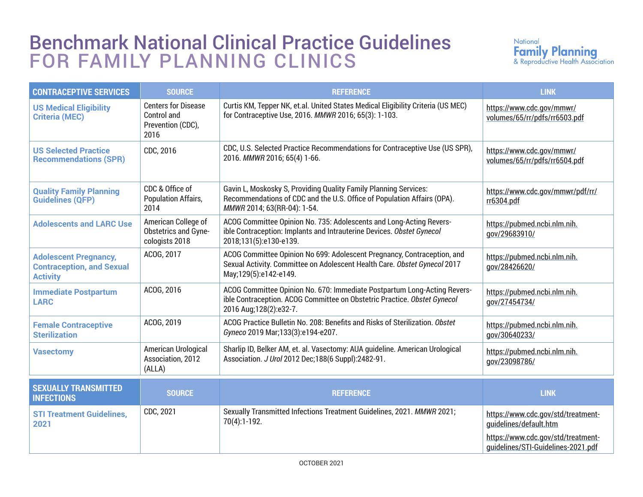## Benchmark National Clinical Practice Guidelines FOR FAMILY PLANNING CLINICS



| <b>CONTRACEPTIVE SERVICES</b>                                                       | <b>SOURCE</b>                                                          | <b>REFERENCE</b>                                                                                                                                                                 | <b>LINK</b>                                                              |
|-------------------------------------------------------------------------------------|------------------------------------------------------------------------|----------------------------------------------------------------------------------------------------------------------------------------------------------------------------------|--------------------------------------------------------------------------|
| <b>US Medical Eligibility</b><br><b>Criteria (MEC)</b>                              | <b>Centers for Disease</b><br>Control and<br>Prevention (CDC),<br>2016 | Curtis KM, Tepper NK, et.al. United States Medical Eligibility Criteria (US MEC)<br>for Contraceptive Use, 2016. MMWR 2016; 65(3): 1-103.                                        | https://www.cdc.gov/mmwr/<br>volumes/65/rr/pdfs/rr6503.pdf               |
| <b>US Selected Practice</b><br><b>Recommendations (SPR)</b>                         | CDC, 2016                                                              | CDC, U.S. Selected Practice Recommendations for Contraceptive Use (US SPR),<br>2016. MMWR 2016; 65(4) 1-66.                                                                      | https://www.cdc.gov/mmwr/<br>volumes/65/rr/pdfs/rr6504.pdf               |
| <b>Quality Family Planning</b><br><b>Guidelines (QFP)</b>                           | CDC & Office of<br><b>Population Affairs,</b><br>2014                  | Gavin L, Moskosky S, Providing Quality Family Planning Services:<br>Recommendations of CDC and the U.S. Office of Population Affairs (OPA).<br>MMWR 2014; 63(RR-04): 1-54.       | https://www.cdc.gov/mmwr/pdf/rr/<br>rr6304.pdf                           |
| <b>Adolescents and LARC Use</b>                                                     | American College of<br>Obstetrics and Gyne-<br>cologists 2018          | ACOG Committee Opinion No. 735: Adolescents and Long-Acting Revers-<br>ible Contraception: Implants and Intrauterine Devices. Obstet Gynecol<br>2018;131(5):e130-e139.           | https://pubmed.ncbi.nlm.nih.<br>gov/29683910/                            |
| <b>Adolescent Pregnancy,</b><br><b>Contraception, and Sexual</b><br><b>Activity</b> | ACOG, 2017                                                             | ACOG Committee Opinion No 699: Adolescent Pregnancy, Contraception, and<br>Sexual Activity. Committee on Adolescent Health Care. Obstet Gynecol 2017<br>May;129(5):e142-e149.    | https://pubmed.ncbi.nlm.nih.<br>gov/28426620/                            |
| <b>Immediate Postpartum</b><br><b>LARC</b>                                          | ACOG, 2016                                                             | ACOG Committee Opinion No. 670: Immediate Postpartum Long-Acting Revers-<br>ible Contraception. ACOG Committee on Obstetric Practice. Obstet Gynecol<br>2016 Aug; 128(2): e32-7. | https://pubmed.ncbi.nlm.nih.<br>gov/27454734/                            |
| <b>Female Contraceptive</b><br><b>Sterilization</b>                                 | ACOG, 2019                                                             | ACOG Practice Bulletin No. 208: Benefits and Risks of Sterilization. Obstet<br>Gyneco 2019 Mar;133(3):e194-e207.                                                                 | https://pubmed.ncbi.nlm.nih.<br>gov/30640233/                            |
| <b>Vasectomy</b>                                                                    | American Urological<br>Association, 2012<br>(ALLA)                     | Sharlip ID, Belker AM, et. al. Vasectomy: AUA guideline. American Urological<br>Association. J Urol 2012 Dec; 188(6 Suppl): 2482-91.                                             | https://pubmed.ncbi.nlm.nih.<br>gov/23098786/                            |
| <b>SEXUALLY TRANSMITTED</b><br><b>INFECTIONS</b>                                    | <b>SOURCE</b>                                                          | <b>REFERENCE</b>                                                                                                                                                                 | <b>LINK</b>                                                              |
| <b>STI Treatment Guidelines,</b><br>2021                                            | CDC, 2021                                                              | Sexually Transmitted Infections Treatment Guidelines, 2021. MMWR 2021;<br>70(4):1-192.                                                                                           | https://www.cdc.gov/std/treatment-<br>quidelines/default.htm             |
|                                                                                     |                                                                        |                                                                                                                                                                                  | https://www.cdc.gov/std/treatment-<br>guidelines/STI-Guidelines-2021.pdf |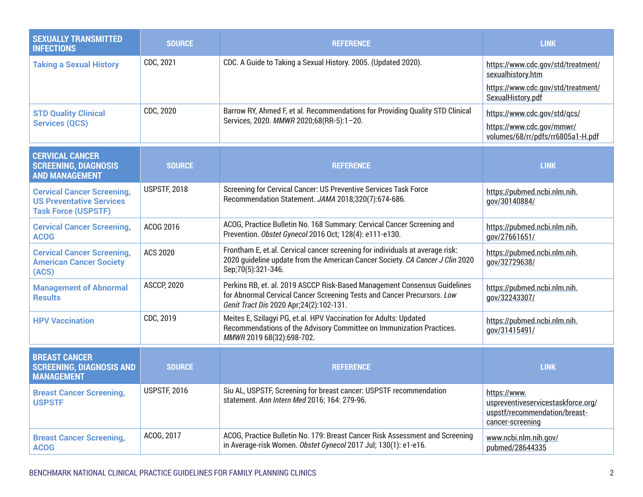| <b>SEXUALLY TRANSMITTED</b><br><b>INFECTIONS</b>                                                   | <b>SOURCE</b>       | <b>REFERENCE</b>                                                                                                                                                                                  | <b>LINK</b>                                                                                             |
|----------------------------------------------------------------------------------------------------|---------------------|---------------------------------------------------------------------------------------------------------------------------------------------------------------------------------------------------|---------------------------------------------------------------------------------------------------------|
| <b>Taking a Sexual History</b>                                                                     | CDC, 2021           | CDC. A Guide to Taking a Sexual History. 2005. (Updated 2020).                                                                                                                                    | https://www.cdc.gov/std/treatment/<br>sexualhistory.htm                                                 |
|                                                                                                    |                     |                                                                                                                                                                                                   | https://www.cdc.gov/std/treatment/<br>SexualHistory.pdf                                                 |
| <b>STD Quality Clinical</b><br><b>Services (QCS)</b>                                               | CDC, 2020           | Barrow RY, Ahmed F, et al. Recommendations for Providing Quality STD Clinical<br>Services, 2020. MMWR 2020;68(RR-5):1-20.                                                                         | https://www.cdc.gov/std/gcs/                                                                            |
|                                                                                                    |                     |                                                                                                                                                                                                   | https://www.cdc.gov/mmwr/<br>volumes/68/rr/pdfs/rr6805a1-H.pdf                                          |
| <b>CERVICAL CANCER</b><br><b>SCREENING, DIAGNOSIS</b><br><b>AND MANAGEMENT</b>                     | <b>SOURCE</b>       | <b>REFERENCE</b>                                                                                                                                                                                  | <b>LINK</b>                                                                                             |
| <b>Cervical Cancer Screening,</b><br><b>US Preventative Services</b><br><b>Task Force (USPSTF)</b> | <b>USPSTF, 2018</b> | Screening for Cervical Cancer: US Preventive Services Task Force<br>Recommendation Statement. JAMA 2018;320(7):674-686.                                                                           | https://pubmed.ncbi.nlm.nih.<br>gov/30140884/                                                           |
| <b>Cervical Cancer Screening,</b><br><b>ACOG</b>                                                   | ACOG 2016           | ACOG, Practice Bulletin No. 168 Summary: Cervical Cancer Screening and<br>Prevention. Obstet Gynecol 2016 Oct; 128(4): e111-e130.                                                                 | https://pubmed.ncbi.nlm.nih.<br>gov/27661651/                                                           |
| <b>Cervical Cancer Screening,</b><br><b>American Cancer Society</b><br>(ACS)                       | <b>ACS 2020</b>     | Frontham E, et.al. Cervical cancer screening for individuals at average risk:<br>2020 quideline update from the American Cancer Society. CA Cancer J Clin 2020<br>Sep;70(5):321-346.              | https://pubmed.ncbi.nlm.nih.<br>gov/32729638/                                                           |
| <b>Management of Abnormal</b><br><b>Results</b>                                                    | <b>ASCCP, 2020</b>  | Perkins RB, et. al. 2019 ASCCP Risk-Based Management Consensus Guidelines<br>for Abnormal Cervical Cancer Screening Tests and Cancer Precursors. Low<br>Genit Tract Dis 2020 Apr; 24(2): 102-131. | https://pubmed.ncbi.nlm.nih.<br>gov/32243307/                                                           |
| <b>HPV Vaccination</b>                                                                             | CDC, 2019           | Meites E, Szilagyi PG, et.al. HPV Vaccination for Adults: Updated<br>Recommendations of the Advisory Committee on Immunization Practices.<br>MMWR 2019 68(32):698-702.                            | https://pubmed.ncbi.nlm.nih.<br>gov/31415491/                                                           |
| <b>BREAST CANCER</b><br><b>SCREENING, DIAGNOSIS AND</b><br><b>MANAGEMENT</b>                       | <b>SOURCE</b>       | <b>REFERENCE</b>                                                                                                                                                                                  | <b>LINK</b>                                                                                             |
| <b>Breast Cancer Screening,</b><br><b>USPSTF</b>                                                   | <b>USPSTF, 2016</b> | Siu AL, USPSTF, Screening for breast cancer: USPSTF recommendation<br>statement. Ann Intern Med 2016; 164: 279-96.                                                                                | https://www.<br>uspreventiveservicestaskforce.org/<br>uspstf/recommendation/breast-<br>cancer-screening |
| <b>Breast Cancer Screening,</b><br><b>ACOG</b>                                                     | ACOG, 2017          | ACOG, Practice Bulletin No. 179: Breast Cancer Risk Assessment and Screening<br>in Average-risk Women. Obstet Gynecol 2017 Jul; 130(1): e1-e16.                                                   | www.ncbi.nlm.nih.gov/<br>pubmed/28644335                                                                |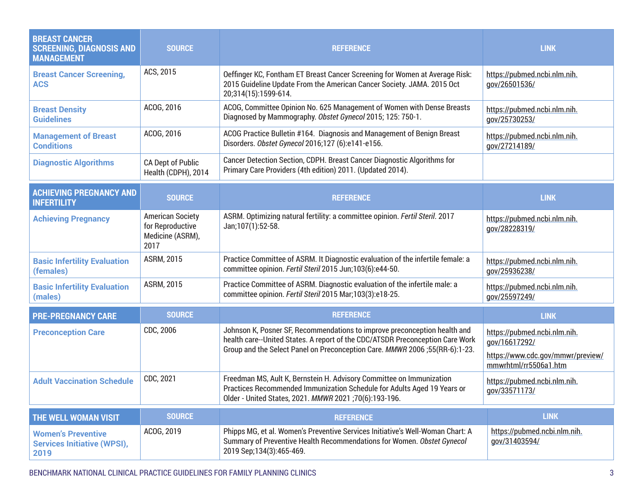| <b>BREAST CANCER</b><br><b>SCREENING, DIAGNOSIS AND</b><br><b>MANAGEMENT</b> | <b>SOURCE</b>                                                           | <b>REFERENCE</b>                                                                                                                                                                                                                          | <b>LINK</b>                                                                                                 |
|------------------------------------------------------------------------------|-------------------------------------------------------------------------|-------------------------------------------------------------------------------------------------------------------------------------------------------------------------------------------------------------------------------------------|-------------------------------------------------------------------------------------------------------------|
| <b>Breast Cancer Screening,</b><br><b>ACS</b>                                | ACS, 2015                                                               | Oeffinger KC, Fontham ET Breast Cancer Screening for Women at Average Risk:<br>2015 Guideline Update From the American Cancer Society. JAMA. 2015 Oct<br>20;314(15):1599-614.                                                             | https://pubmed.ncbi.nlm.nih.<br>gov/26501536/                                                               |
| <b>Breast Density</b><br><b>Guidelines</b>                                   | ACOG, 2016                                                              | ACOG, Committee Opinion No. 625 Management of Women with Dense Breasts<br>Diagnosed by Mammography. Obstet Gynecol 2015; 125: 750-1.                                                                                                      | https://pubmed.ncbi.nlm.nih.<br>gov/25730253/                                                               |
| <b>Management of Breast</b><br><b>Conditions</b>                             | ACOG, 2016                                                              | ACOG Practice Bulletin #164. Diagnosis and Management of Benign Breast<br>Disorders. Obstet Gynecol 2016;127 (6):e141-e156.                                                                                                               | https://pubmed.ncbi.nlm.nih.<br>gov/27214189/                                                               |
| <b>Diagnostic Algorithms</b>                                                 | CA Dept of Public<br>Health (CDPH), 2014                                | Cancer Detection Section, CDPH. Breast Cancer Diagnostic Algorithms for<br>Primary Care Providers (4th edition) 2011. (Updated 2014).                                                                                                     |                                                                                                             |
| <b>ACHIEVING PREGNANCY AND</b><br><b>INFERTILITY</b>                         | <b>SOURCE</b>                                                           | <b>REFERENCE</b>                                                                                                                                                                                                                          | <b>LINK</b>                                                                                                 |
| <b>Achieving Pregnancy</b>                                                   | <b>American Society</b><br>for Reproductive<br>Medicine (ASRM),<br>2017 | ASRM. Optimizing natural fertility: a committee opinion. Fertil Steril. 2017<br>Jan;107(1):52-58.                                                                                                                                         | https://pubmed.ncbi.nlm.nih.<br>gov/28228319/                                                               |
| <b>Basic Infertility Evaluation</b><br>(females)                             | <b>ASRM, 2015</b>                                                       | Practice Committee of ASRM. It Diagnostic evaluation of the infertile female: a<br>committee opinion. Fertil Steril 2015 Jun;103(6):e44-50.                                                                                               | https://pubmed.ncbi.nlm.nih.<br>gov/25936238/                                                               |
| <b>Basic Infertility Evaluation</b><br>(males)                               | <b>ASRM, 2015</b>                                                       | Practice Committee of ASRM. Diagnostic evaluation of the infertile male: a<br>committee opinion. Fertil Steril 2015 Mar;103(3):e18-25.                                                                                                    | https://pubmed.ncbi.nlm.nih.<br>gov/25597249/                                                               |
| <b>PRE-PREGNANCY CARE</b>                                                    | <b>SOURCE</b>                                                           | <b>REFERENCE</b>                                                                                                                                                                                                                          | <b>LINK</b>                                                                                                 |
| <b>Preconception Care</b>                                                    | CDC, 2006                                                               | Johnson K, Posner SF, Recommendations to improve preconception health and<br>health care--United States. A report of the CDC/ATSDR Preconception Care Work<br>Group and the Select Panel on Preconception Care. MMWR 2006 ;55(RR-6):1-23. | https://pubmed.ncbi.nlm.nih.<br>gov/16617292/<br>https://www.cdc.gov/mmwr/preview/<br>mmwrhtml/rr5506a1.htm |
| <b>Adult Vaccination Schedule</b>                                            | CDC, 2021                                                               | Freedman MS, Ault K, Bernstein H. Advisory Committee on Immunization<br>Practices Recommended Immunization Schedule for Adults Aged 19 Years or<br>Older - United States, 2021. MMWR 2021;70(6):193-196.                                  | https://pubmed.ncbi.nlm.nih.<br>gov/33571173/                                                               |
| THE WELL WOMAN VISIT                                                         | <b>SOURCE</b>                                                           | <b>REFERENCE</b>                                                                                                                                                                                                                          | <b>LINK</b>                                                                                                 |
| <b>Women's Preventive</b><br><b>Services Initiative (WPSI),</b><br>2019      | ACOG, 2019                                                              | Phipps MG, et al. Women's Preventive Services Initiative's Well-Woman Chart: A<br>Summary of Preventive Health Recommendations for Women. Obstet Gynecol<br>2019 Sep;134(3):465-469.                                                      | https://pubmed.ncbi.nlm.nih.<br>gov/31403594/                                                               |